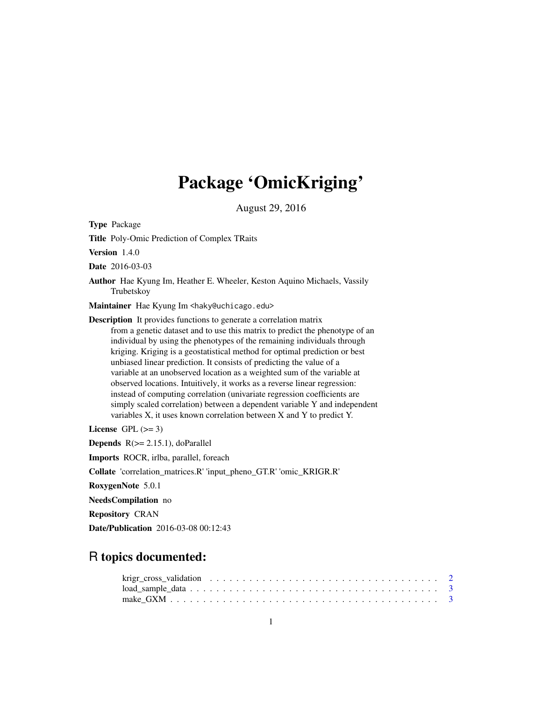# Package 'OmicKriging'

August 29, 2016

Type Package

Title Poly-Omic Prediction of Complex TRaits

Version 1.4.0

Date 2016-03-03

Author Hae Kyung Im, Heather E. Wheeler, Keston Aquino Michaels, Vassily Trubetskoy

Maintainer Hae Kyung Im <haky@uchicago.edu>

Description It provides functions to generate a correlation matrix from a genetic dataset and to use this matrix to predict the phenotype of an individual by using the phenotypes of the remaining individuals through kriging. Kriging is a geostatistical method for optimal prediction or best unbiased linear prediction. It consists of predicting the value of a variable at an unobserved location as a weighted sum of the variable at observed locations. Intuitively, it works as a reverse linear regression: instead of computing correlation (univariate regression coefficients are simply scaled correlation) between a dependent variable Y and independent variables X, it uses known correlation between X and Y to predict Y.

License GPL  $(>= 3)$ 

**Depends**  $R$ ( $>= 2.15.1$ ), doParallel

Imports ROCR, irlba, parallel, foreach

Collate 'correlation\_matrices.R' 'input\_pheno\_GT.R' 'omic\_KRIGR.R'

RoxygenNote 5.0.1

NeedsCompilation no

Repository CRAN

Date/Publication 2016-03-08 00:12:43

# R topics documented: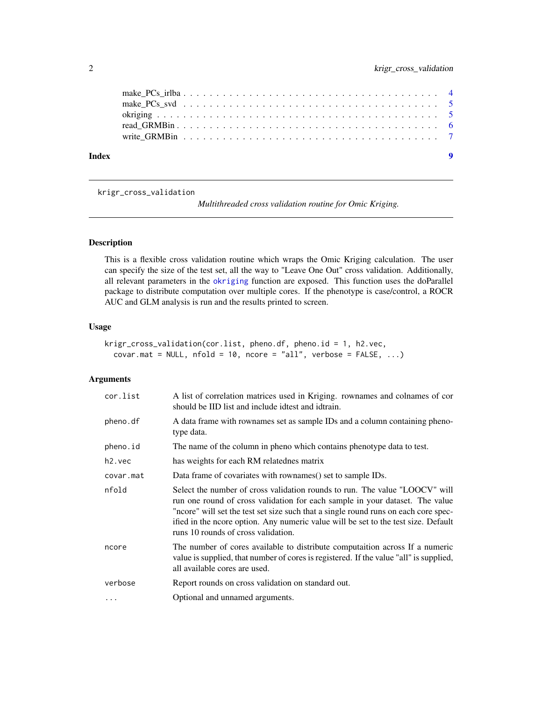<span id="page-1-0"></span>

| Index |  |  |  |  |  |  |  |  |  |  |  |  |  |  | $\overline{\mathbf{9}}$ |
|-------|--|--|--|--|--|--|--|--|--|--|--|--|--|--|-------------------------|
|       |  |  |  |  |  |  |  |  |  |  |  |  |  |  |                         |
|       |  |  |  |  |  |  |  |  |  |  |  |  |  |  |                         |
|       |  |  |  |  |  |  |  |  |  |  |  |  |  |  |                         |
|       |  |  |  |  |  |  |  |  |  |  |  |  |  |  |                         |
|       |  |  |  |  |  |  |  |  |  |  |  |  |  |  |                         |

<span id="page-1-1"></span>krigr\_cross\_validation

*Multithreaded cross validation routine for Omic Kriging.*

# Description

This is a flexible cross validation routine which wraps the Omic Kriging calculation. The user can specify the size of the test set, all the way to "Leave One Out" cross validation. Additionally, all relevant parameters in the [okriging](#page-4-1) function are exposed. This function uses the doParallel package to distribute computation over multiple cores. If the phenotype is case/control, a ROCR AUC and GLM analysis is run and the results printed to screen.

### Usage

```
krigr_cross_validation(cor.list, pheno.df, pheno.id = 1, h2.vec,
  covar.math = NULL, nfold = 10, ncore = "all", verbose = FALSE, ...)
```
# Arguments

| cor.list  | A list of correlation matrices used in Kriging. rownames and colnames of cor<br>should be IID list and include idtest and idtrain.                                                                                                                                                                                                                                              |
|-----------|---------------------------------------------------------------------------------------------------------------------------------------------------------------------------------------------------------------------------------------------------------------------------------------------------------------------------------------------------------------------------------|
| pheno.df  | A data frame with rownames set as sample IDs and a column containing pheno-<br>type data.                                                                                                                                                                                                                                                                                       |
| pheno.id  | The name of the column in pheno which contains phenotype data to test.                                                                                                                                                                                                                                                                                                          |
| $h2.$ vec | has weights for each RM relatednes matrix                                                                                                                                                                                                                                                                                                                                       |
| covar.mat | Data frame of covariates with rownames () set to sample IDs.                                                                                                                                                                                                                                                                                                                    |
| nfold     | Select the number of cross validation rounds to run. The value "LOOCV" will<br>run one round of cross validation for each sample in your dataset. The value<br>"ncore" will set the test set size such that a single round runs on each core spec-<br>ified in the ncore option. Any numeric value will be set to the test size. Default<br>runs 10 rounds of cross validation. |
| ncore     | The number of cores available to distribute computation across If a numeric<br>value is supplied, that number of cores is registered. If the value "all" is supplied,<br>all available cores are used.                                                                                                                                                                          |
| verbose   | Report rounds on cross validation on standard out.                                                                                                                                                                                                                                                                                                                              |
| $\cdots$  | Optional and unnamed arguments.                                                                                                                                                                                                                                                                                                                                                 |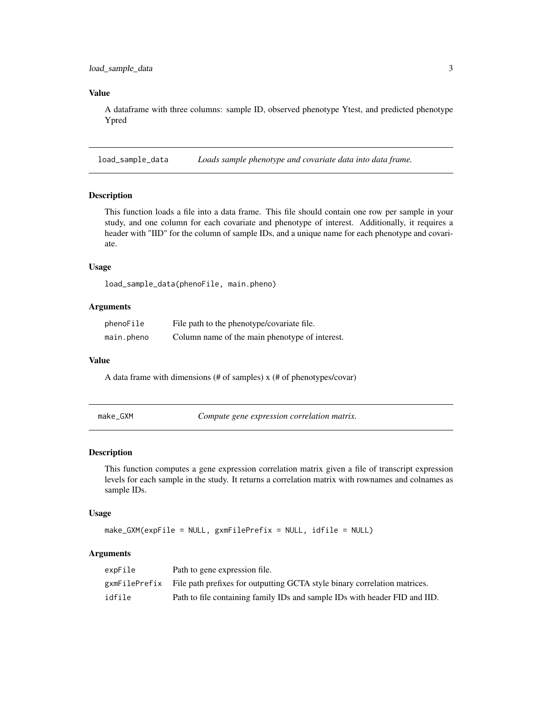# <span id="page-2-0"></span>Value

A dataframe with three columns: sample ID, observed phenotype Ytest, and predicted phenotype Ypred

load\_sample\_data *Loads sample phenotype and covariate data into data frame.*

#### Description

This function loads a file into a data frame. This file should contain one row per sample in your study, and one column for each covariate and phenotype of interest. Additionally, it requires a header with "IID" for the column of sample IDs, and a unique name for each phenotype and covariate.

# Usage

load\_sample\_data(phenoFile, main.pheno)

# Arguments

| phenoFile  | File path to the phenotype/covariate file.     |
|------------|------------------------------------------------|
| main.pheno | Column name of the main phenotype of interest. |

#### Value

A data frame with dimensions (# of samples) x (# of phenotypes/covar)

make\_GXM *Compute gene expression correlation matrix.*

# Description

This function computes a gene expression correlation matrix given a file of transcript expression levels for each sample in the study. It returns a correlation matrix with rownames and colnames as sample IDs.

#### Usage

```
make_GXM(expFile = NULL, gxmFilePrefix = NULL, idfile = NULL)
```
#### Arguments

| expFile       | Path to gene expression file.                                              |
|---------------|----------------------------------------------------------------------------|
| gxmFilePrefix | File path prefixes for outputting GCTA style binary correlation matrices.  |
| idfile        | Path to file containing family IDs and sample IDs with header FID and IID. |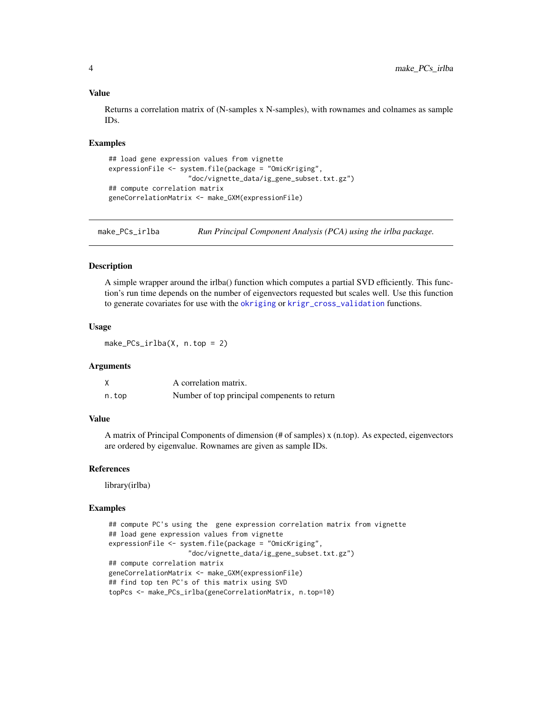#### Value

Returns a correlation matrix of (N-samples x N-samples), with rownames and colnames as sample IDs.

#### Examples

```
## load gene expression values from vignette
expressionFile <- system.file(package = "OmicKriging",
                    "doc/vignette_data/ig_gene_subset.txt.gz")
## compute correlation matrix
geneCorrelationMatrix <- make_GXM(expressionFile)
```
make\_PCs\_irlba *Run Principal Component Analysis (PCA) using the irlba package.*

#### Description

A simple wrapper around the irlba() function which computes a partial SVD efficiently. This function's run time depends on the number of eigenvectors requested but scales well. Use this function to generate covariates for use with the [okriging](#page-4-1) or [krigr\\_cross\\_validation](#page-1-1) functions.

#### Usage

make\_PCs\_irlba( $X$ , n.top = 2)

#### **Arguments**

|       | A correlation matrix.                        |
|-------|----------------------------------------------|
| n.top | Number of top principal compenents to return |

# Value

A matrix of Principal Components of dimension (# of samples) x (n.top). As expected, eigenvectors are ordered by eigenvalue. Rownames are given as sample IDs.

#### References

library(irlba)

#### Examples

```
## compute PC's using the gene expression correlation matrix from vignette
## load gene expression values from vignette
expressionFile <- system.file(package = "OmicKriging",
                    "doc/vignette_data/ig_gene_subset.txt.gz")
## compute correlation matrix
geneCorrelationMatrix <- make_GXM(expressionFile)
## find top ten PC's of this matrix using SVD
topPcs <- make_PCs_irlba(geneCorrelationMatrix, n.top=10)
```
<span id="page-3-0"></span>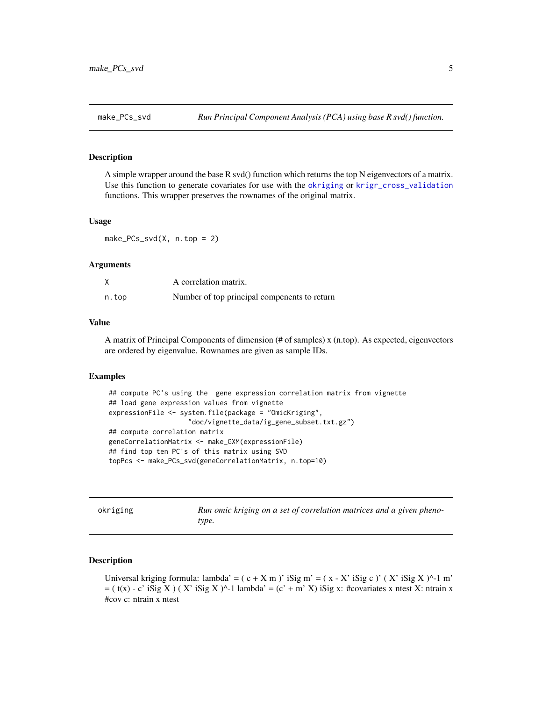<span id="page-4-0"></span>

#### Description

A simple wrapper around the base R svd() function which returns the top N eigenvectors of a matrix. Use this function to generate covariates for use with the [okriging](#page-4-1) or [krigr\\_cross\\_validation](#page-1-1) functions. This wrapper preserves the rownames of the original matrix.

#### Usage

make\_PCs\_svd(X, n.top = 2)

#### Arguments

|       | A correlation matrix.                        |
|-------|----------------------------------------------|
| n.top | Number of top principal compenents to return |

#### Value

A matrix of Principal Components of dimension (# of samples) x (n.top). As expected, eigenvectors are ordered by eigenvalue. Rownames are given as sample IDs.

#### Examples

```
## compute PC's using the gene expression correlation matrix from vignette
## load gene expression values from vignette
expressionFile <- system.file(package = "OmicKriging",
                    "doc/vignette_data/ig_gene_subset.txt.gz")
## compute correlation matrix
geneCorrelationMatrix <- make_GXM(expressionFile)
## find top ten PC's of this matrix using SVD
topPcs <- make_PCs_svd(geneCorrelationMatrix, n.top=10)
```
<span id="page-4-1"></span>

|  | okriging |  |
|--|----------|--|
|  |          |  |

Run omic kriging on a set of correlation matrices and a given pheno*type.*

#### **Description**

Universal kriging formula: lambda' =  $(c + X m)$ ' iSig m' =  $(x - X'$  iSig c)'  $(X'$  iSig X)^-1 m'  $=$  ( t(x) - c' iSig X ) ( X' iSig X )^-1 lambda' = (c' + m' X) iSig x: #covariates x ntest X: ntrain x #cov c: ntrain x ntest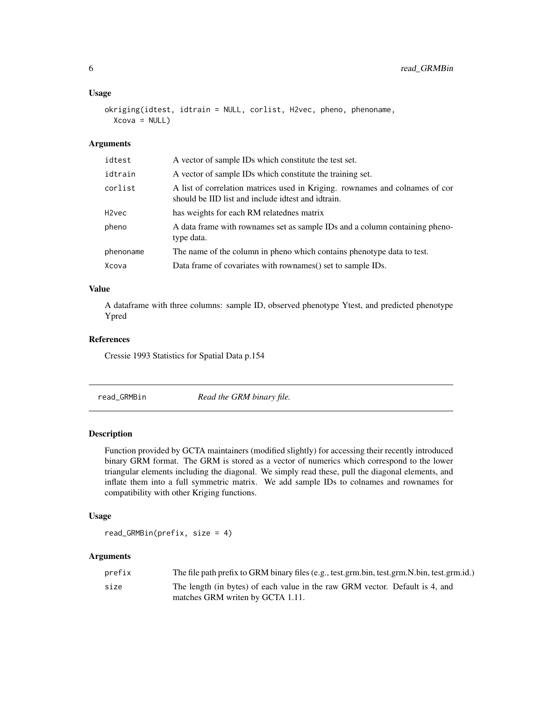#### <span id="page-5-0"></span>Usage

```
okriging(idtest, idtrain = NULL, corlist, H2vec, pheno, phenoname,
 Xcova = NULL)
```
#### Arguments

| idtest    | A vector of sample IDs which constitute the test set.                                                                              |
|-----------|------------------------------------------------------------------------------------------------------------------------------------|
| idtrain   | A vector of sample IDs which constitute the training set.                                                                          |
| corlist   | A list of correlation matrices used in Kriging. rownames and colnames of cor<br>should be IID list and include idtest and idtrain. |
| H2vec     | has weights for each RM relatednes matrix                                                                                          |
| pheno     | A data frame with rownames set as sample IDs and a column containing pheno-<br>type data.                                          |
| phenoname | The name of the column in pheno which contains phenotype data to test.                                                             |
| Xcova     | Data frame of covariates with rownames() set to sample IDs.                                                                        |
|           |                                                                                                                                    |

# Value

A dataframe with three columns: sample ID, observed phenotype Ytest, and predicted phenotype Ypred

#### References

Cressie 1993 Statistics for Spatial Data p.154

read\_GRMBin *Read the GRM binary file.*

## Description

Function provided by GCTA maintainers (modified slightly) for accessing their recently introduced binary GRM format. The GRM is stored as a vector of numerics which correspond to the lower triangular elements including the diagonal. We simply read these, pull the diagonal elements, and inflate them into a full symmetric matrix. We add sample IDs to colnames and rownames for compatibility with other Kriging functions.

#### Usage

read\_GRMBin(prefix, size = 4)

# Arguments

| prefix | The file path prefix to GRM binary files (e.g., test.grm.bin, test.grm.N.bin, test.grm.id.) |
|--------|---------------------------------------------------------------------------------------------|
| size   | The length (in bytes) of each value in the raw GRM vector. Default is 4, and                |
|        | matches GRM writen by GCTA 1.11.                                                            |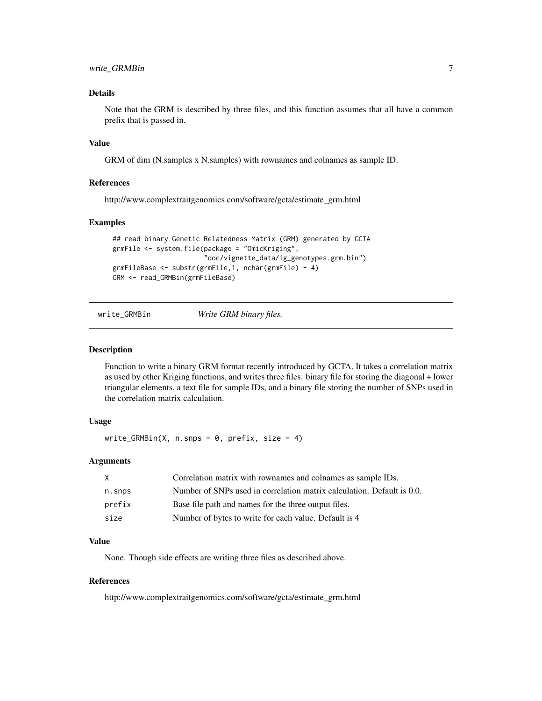# <span id="page-6-0"></span>write\_GRMBin 7

# Details

Note that the GRM is described by three files, and this function assumes that all have a common prefix that is passed in.

### Value

GRM of dim (N.samples x N.samples) with rownames and colnames as sample ID.

#### References

http://www.complextraitgenomics.com/software/gcta/estimate\_grm.html

#### Examples

```
## read binary Genetic Relatedness Matrix (GRM) generated by GCTA
grmFile <- system.file(package = "OmicKriging",
                       "doc/vignette_data/ig_genotypes.grm.bin")
grmFileBase <- substr(grmFile,1, nchar(grmFile) - 4)
GRM <- read_GRMBin(grmFileBase)
```
write\_GRMBin *Write GRM binary files.*

#### Description

Function to write a binary GRM format recently introduced by GCTA. It takes a correlation matrix as used by other Kriging functions, and writes three files: binary file for storing the diagonal + lower triangular elements, a text file for sample IDs, and a binary file storing the number of SNPs used in the correlation matrix calculation.

#### Usage

write\_GRMBin(X, n.snps =  $0$ , prefix, size = 4)

#### Arguments

|        | Correlation matrix with rownames and colnames as sample IDs.           |
|--------|------------------------------------------------------------------------|
| n.snps | Number of SNPs used in correlation matrix calculation. Default is 0.0. |
| prefix | Base file path and names for the three output files.                   |
| size   | Number of bytes to write for each value. Default is 4                  |

#### Value

None. Though side effects are writing three files as described above.

#### References

http://www.complextraitgenomics.com/software/gcta/estimate\_grm.html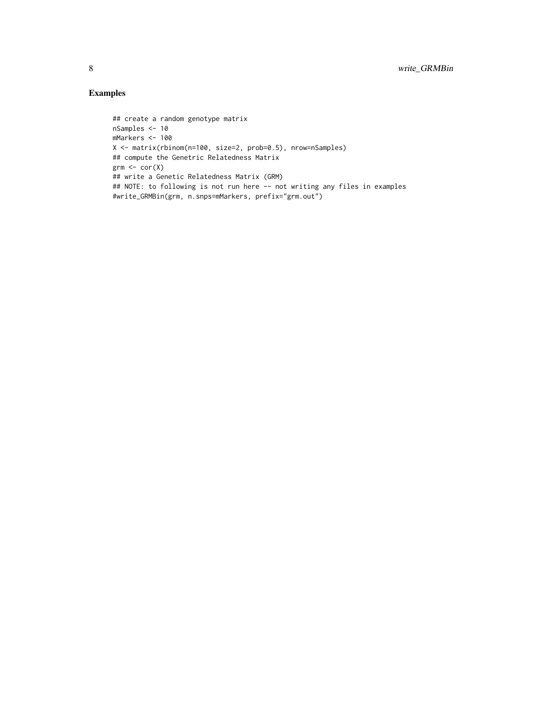# Examples

```
## create a random genotype matrix
nSamples <- 10
mMarkers <- 100
X <- matrix(rbinom(n=100, size=2, prob=0.5), nrow=nSamples)
## compute the Genetric Relatedness Matrix
grm \leftarrow cor(X)## write a Genetic Relatedness Matrix (GRM)
## NOTE: to following is not run here -- not writing any files in examples
#write_GRMBin(grm, n.snps=mMarkers, prefix="grm.out")
```